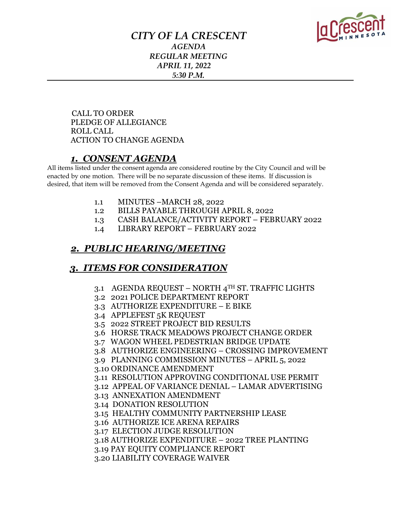

## *CITY OF LA CRESCENT AGENDA REGULAR MEETING APRIL 11, 2022 5:30 P.M.*

 CALL TO ORDER PLEDGE OF ALLEGIANCE ROLL CALL ACTION TO CHANGE AGENDA

## *1. CONSENT AGENDA*

All items listed under the consent agenda are considered routine by the City Council and will be enacted by one motion. There will be no separate discussion of these items. If discussion is desired, that item will be removed from the Consent Agenda and will be considered separately.

- 1.1 MINUTES –MARCH 28, 2022
- 1.2 BILLS PAYABLE THROUGH APRIL 8, 2022
- 1.3 CASH BALANCE/ACTIVITY REPORT FEBRUARY 2022
- 1.4 LIBRARY REPORT FEBRUARY 2022

## *2. PUBLIC HEARING/MEETING*

#### *3. ITEMS FOR CONSIDERATION*

- 3.1 AGENDA REQUEST NORTH 4TH ST. TRAFFIC LIGHTS
- 3.2 2021 POLICE DEPARTMENT REPORT
- 3.3 AUTHORIZE EXPENDITURE E BIKE
- 3.4 APPLEFEST 5K REQUEST
- 3.5 2022 STREET PROJECT BID RESULTS
- 3.6 HORSE TRACK MEADOWS PROJECT CHANGE ORDER
- 3.7 WAGON WHEEL PEDESTRIAN BRIDGE UPDATE
- 3.8 AUTHORIZE ENGINEERING CROSSING IMPROVEMENT
- 3.9 PLANNING COMMISSION MINUTES APRIL 5, 2022
- 3.10 ORDINANCE AMENDMENT
- 3.11 RESOLUTION APPROVING CONDITIONAL USE PERMIT
- 3.12 APPEAL OF VARIANCE DENIAL LAMAR ADVERTISING
- 3.13 ANNEXATION AMENDMENT
- 3.14 DONATION RESOLUTION
- 3.15 HEALTHY COMMUNITY PARTNERSHIP LEASE
- 3.16 AUTHORIZE ICE ARENA REPAIRS
- 3.17 ELECTION JUDGE RESOLUTION
- 3.18 AUTHORIZE EXPENDITURE 2022 TREE PLANTING
- 3.19 PAY EQUITY COMPLIANCE REPORT
- 3.20 LIABILITY COVERAGE WAIVER